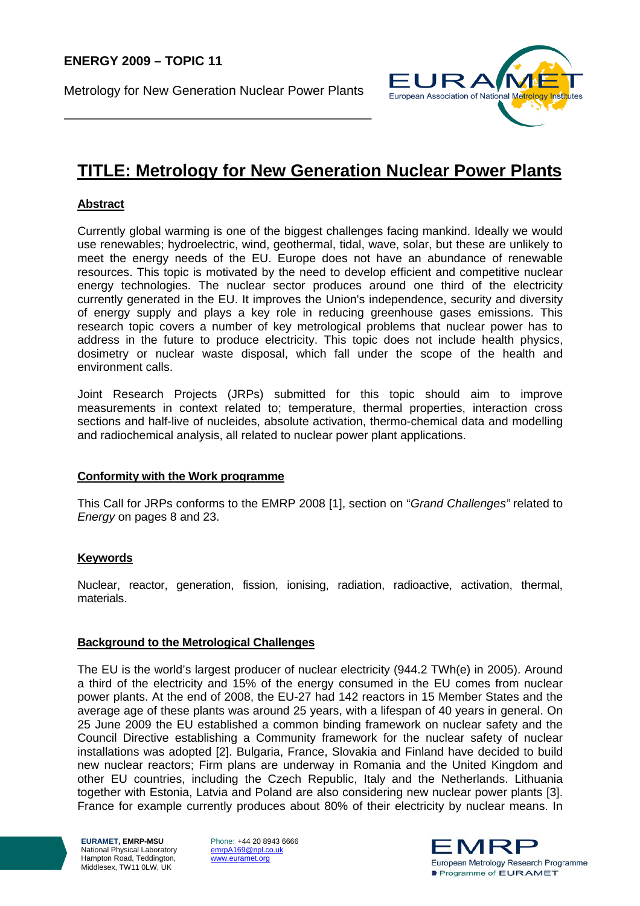Metrology for New Generation Nuclear Power Plants



# **TITLE: Metrology for New Generation Nuclear Power Plants**

## **Abstract**

Currently global warming is one of the biggest challenges facing mankind. Ideally we would use renewables; hydroelectric, wind, geothermal, tidal, wave, solar, but these are unlikely to meet the energy needs of the EU. Europe does not have an abundance of renewable resources. This topic is motivated by the need to develop efficient and competitive nuclear energy technologies. The nuclear sector produces around one third of the electricity currently generated in the EU. It improves the Union's independence, security and diversity of energy supply and plays a key role in reducing greenhouse gases emissions. This research topic covers a number of key metrological problems that nuclear power has to address in the future to produce electricity. This topic does not include health physics, dosimetry or nuclear waste disposal, which fall under the scope of the health and environment calls.

Joint Research Projects (JRPs) submitted for this topic should aim to improve measurements in context related to; temperature, thermal properties, interaction cross sections and half-live of nucleides, absolute activation, thermo-chemical data and modelling and radiochemical analysis, all related to nuclear power plant applications.

## **Conformity with the Work programme**

This Call for JRPs conforms to the EMRP 2008 [1], section on "*Grand Challenges"* related to *Energy* on pages 8 and 23.

## **Keywords**

Nuclear, reactor, generation, fission, ionising, radiation, radioactive, activation, thermal, materials.

#### **Background to the Metrological Challenges**

The EU is the world's largest producer of nuclear electricity (944.2 TWh(e) in 2005). Around a third of the electricity and 15% of the energy consumed in the EU comes from nuclear power plants. At the end of 2008, the EU-27 had 142 reactors in 15 Member States and the average age of these plants was around 25 years, with a lifespan of 40 years in general. On 25 June 2009 the EU established a common binding framework on nuclear safety and the Council Directive establishing a Community framework for the nuclear safety of nuclear installations was adopted [2]. Bulgaria, France, Slovakia and Finland have decided to build new nuclear reactors; Firm plans are underway in Romania and the United Kingdom and other EU countries, including the Czech Republic, Italy and the Netherlands. Lithuania together with Estonia, Latvia and Poland are also considering new nuclear power plants [3]. France for example currently produces about 80% of their electricity by nuclear means. In

**EURAMET, EMRP-MSU**  National Physical Laboratory Hampton Road, Teddington, Middlesex, TW11 0LW, UK

Phone: +44 20 8943 6666 emrpA169@npl.co.uk www.euramet.org

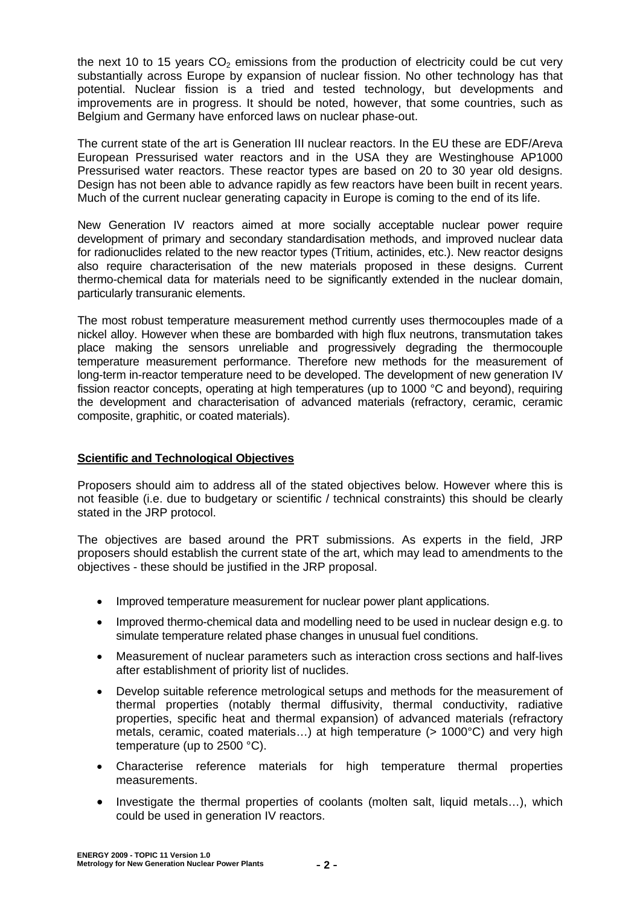the next 10 to 15 years  $CO<sub>2</sub>$  emissions from the production of electricity could be cut very substantially across Europe by expansion of nuclear fission. No other technology has that potential. Nuclear fission is a tried and tested technology, but developments and improvements are in progress. It should be noted, however, that some countries, such as Belgium and Germany have enforced laws on nuclear phase-out.

The current state of the art is Generation III nuclear reactors. In the EU these are EDF/Areva European Pressurised water reactors and in the USA they are Westinghouse AP1000 Pressurised water reactors. These reactor types are based on 20 to 30 year old designs. Design has not been able to advance rapidly as few reactors have been built in recent years. Much of the current nuclear generating capacity in Europe is coming to the end of its life.

New Generation IV reactors aimed at more socially acceptable nuclear power require development of primary and secondary standardisation methods, and improved nuclear data for radionuclides related to the new reactor types (Tritium, actinides, etc.). New reactor designs also require characterisation of the new materials proposed in these designs. Current thermo-chemical data for materials need to be significantly extended in the nuclear domain, particularly transuranic elements.

The most robust temperature measurement method currently uses thermocouples made of a nickel alloy. However when these are bombarded with high flux neutrons, transmutation takes place making the sensors unreliable and progressively degrading the thermocouple temperature measurement performance. Therefore new methods for the measurement of long-term in-reactor temperature need to be developed. The development of new generation IV fission reactor concepts, operating at high temperatures (up to 1000 °C and beyond), requiring the development and characterisation of advanced materials (refractory, ceramic, ceramic composite, graphitic, or coated materials).

## **Scientific and Technological Objectives**

Proposers should aim to address all of the stated objectives below. However where this is not feasible (i.e. due to budgetary or scientific / technical constraints) this should be clearly stated in the JRP protocol.

The objectives are based around the PRT submissions. As experts in the field, JRP proposers should establish the current state of the art, which may lead to amendments to the objectives - these should be justified in the JRP proposal.

- Improved temperature measurement for nuclear power plant applications.
- Improved thermo-chemical data and modelling need to be used in nuclear design e.g. to simulate temperature related phase changes in unusual fuel conditions.
- Measurement of nuclear parameters such as interaction cross sections and half-lives after establishment of priority list of nuclides.
- Develop suitable reference metrological setups and methods for the measurement of thermal properties (notably thermal diffusivity, thermal conductivity, radiative properties, specific heat and thermal expansion) of advanced materials (refractory metals, ceramic, coated materials…) at high temperature (> 1000°C) and very high temperature (up to 2500 °C).
- Characterise reference materials for high temperature thermal properties measurements.
- Investigate the thermal properties of coolants (molten salt, liquid metals…), which could be used in generation IV reactors.